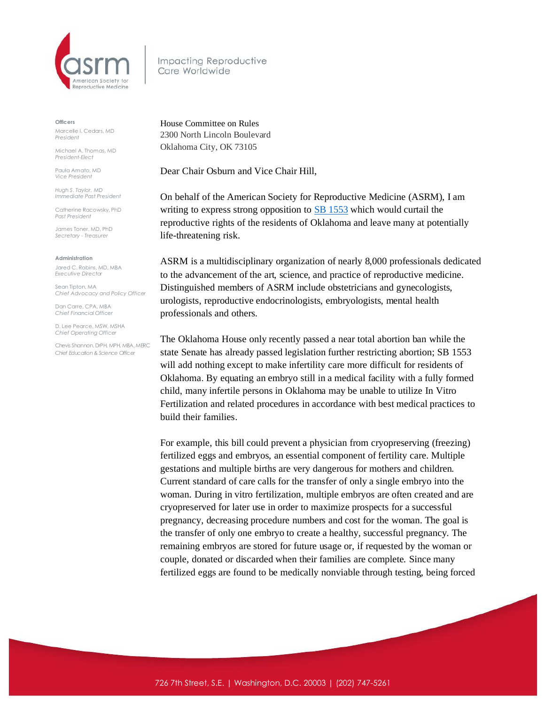

Impacting Reproductive Care Worldwide

**Officers**

Marcelle I. Cedars, MD *President*

Michael A. Thomas, MD *President-Elect*

Paula Amato, MD *Vice President*

*Hugh S. Taylor, MD Immediate Past President*

Catherine Racowsky, PhD *Past President*

James Toner, MD, PhD *Secretary - Treasurer* 

**Administration**

Jared C. Robins, MD, MBA *Executive Director*

Sean Tipton, MA *Chief Advocacy and Policy Officer*

Dan Carre, CPA, MBA *Chief Financial Officer*

D. Lee Pearce, MSW, MSHA *Chief Operating Officer* 

Chevis Shannon, DrPH, MPH, MBA, MERC *Chief Education & Science Officer*

House Committee on Rules 2300 North Lincoln Boulevard Oklahoma City, OK 73105

Dear Chair Osburn and Vice Chair Hill,

On behalf of the American Society for Reproductive Medicine (ASRM), I am writing to express strong opposition to **SB [1553](https://s3.amazonaws.com/fn-document-service/file-by-sha384/9b30aa6632abcc4a40f2e1bc9ab79922b165b67f40aa98bbae96afba0b763bb9c829fe00b313eb2139387f97a0bf19f0)** which would curtail the reproductive rights of the residents of Oklahoma and leave many at potentially life-threatening risk.

ASRM is a multidisciplinary organization of nearly 8,000 professionals dedicated to the advancement of the art, science, and practice of reproductive medicine. Distinguished members of ASRM include obstetricians and gynecologists, urologists, reproductive endocrinologists, embryologists, mental health professionals and others.

The Oklahoma House only recently passed a near total abortion ban while the state Senate has already passed legislation further restricting abortion; SB 1553 will add nothing except to make infertility care more difficult for residents of Oklahoma. By equating an embryo still in a medical facility with a fully formed child, many infertile persons in Oklahoma may be unable to utilize In Vitro Fertilization and related procedures in accordance with best medical practices to build their families.

For example, this bill could prevent a physician from cryopreserving (freezing) fertilized eggs and embryos, an essential component of fertility care. Multiple gestations and multiple births are very dangerous for mothers and children. Current standard of care calls for the transfer of only a single embryo into the woman. During in vitro fertilization, multiple embryos are often created and are cryopreserved for later use in order to maximize prospects for a successful pregnancy, decreasing procedure numbers and cost for the woman. The goal is the transfer of only one embryo to create a healthy, successful pregnancy. The remaining embryos are stored for future usage or, if requested by the woman or couple, donated or discarded when their families are complete. Since many fertilized eggs are found to be medically nonviable through testing, being forced